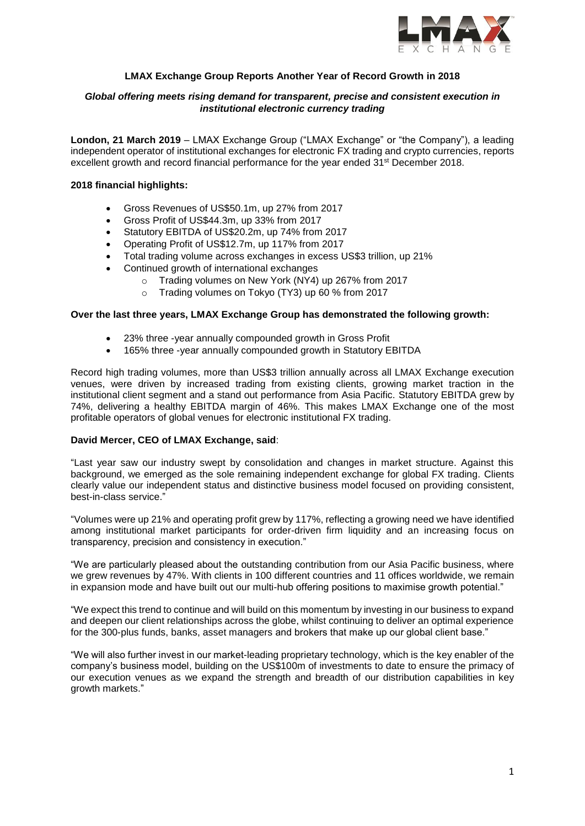

# **LMAX Exchange Group Reports Another Year of Record Growth in 2018**

# *Global offering meets rising demand for transparent, precise and consistent execution in institutional electronic currency trading*

**London, 21 March 2019** – LMAX Exchange Group ("LMAX Exchange" or "the Company"), a leading independent operator of institutional exchanges for electronic FX trading and crypto currencies, reports excellent growth and record financial performance for the year ended 31<sup>st</sup> December 2018.

### **2018 financial highlights:**

- Gross Revenues of US\$50.1m, up 27% from 2017
- Gross Profit of US\$44.3m, up 33% from 2017
- Statutory EBITDA of US\$20.2m, up 74% from 2017
- Operating Profit of US\$12.7m, up 117% from 2017
- Total trading volume across exchanges in excess US\$3 trillion, up 21%
- Continued growth of international exchanges
	- o Trading volumes on New York (NY4) up 267% from 2017
	- o Trading volumes on Tokyo (TY3) up 60 % from 2017

#### **Over the last three years, LMAX Exchange Group has demonstrated the following growth:**

- 23% three -year annually compounded growth in Gross Profit
- 165% three -year annually compounded growth in Statutory EBITDA

Record high trading volumes, more than US\$3 trillion annually across all LMAX Exchange execution venues, were driven by increased trading from existing clients, growing market traction in the institutional client segment and a stand out performance from Asia Pacific. Statutory EBITDA grew by 74%, delivering a healthy EBITDA margin of 46%. This makes LMAX Exchange one of the most profitable operators of global venues for electronic institutional FX trading.

#### **David Mercer, CEO of LMAX Exchange, said**:

"Last year saw our industry swept by consolidation and changes in market structure. Against this background, we emerged as the sole remaining independent exchange for global FX trading. Clients clearly value our independent status and distinctive business model focused on providing consistent, best-in-class service."

"Volumes were up 21% and operating profit grew by 117%, reflecting a growing need we have identified among institutional market participants for order-driven firm liquidity and an increasing focus on transparency, precision and consistency in execution."

"We are particularly pleased about the outstanding contribution from our Asia Pacific business, where we grew revenues by 47%. With clients in 100 different countries and 11 offices worldwide, we remain in expansion mode and have built out our multi-hub offering positions to maximise growth potential."

"We expect this trend to continue and will build on this momentum by investing in our business to expand and deepen our client relationships across the globe, whilst continuing to deliver an optimal experience for the 300-plus funds, banks, asset managers and brokers that make up our global client base."

"We will also further invest in our market-leading proprietary technology, which is the key enabler of the company's business model, building on the US\$100m of investments to date to ensure the primacy of our execution venues as we expand the strength and breadth of our distribution capabilities in key growth markets."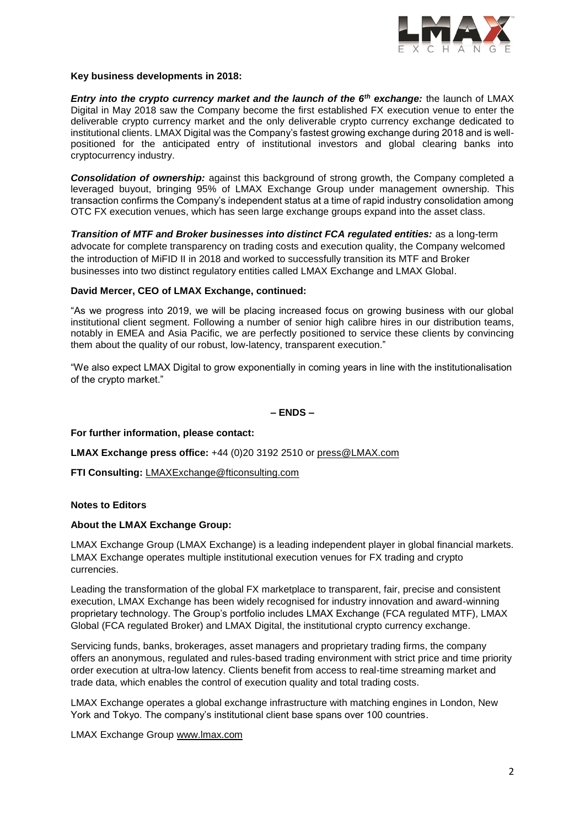

## **Key business developments in 2018:**

*Entry into the crypto currency market and the launch of the 6th exchange:* the launch of LMAX Digital in May 2018 saw the Company become the first established FX execution venue to enter the deliverable crypto currency market and the only deliverable crypto currency exchange dedicated to institutional clients. LMAX Digital was the Company's fastest growing exchange during 2018 and is wellpositioned for the anticipated entry of institutional investors and global clearing banks into cryptocurrency industry.

*Consolidation of ownership:* against this background of strong growth, the Company completed a leveraged buyout, bringing 95% of LMAX Exchange Group under management ownership. This transaction confirms the Company's independent status at a time of rapid industry consolidation among OTC FX execution venues, which has seen large exchange groups expand into the asset class.

*Transition of MTF and Broker businesses into distinct FCA regulated entities:* as a long-term advocate for complete transparency on trading costs and execution quality, the Company welcomed the introduction of MiFID II in 2018 and worked to successfully transition its MTF and Broker businesses into two distinct regulatory entities called LMAX Exchange and LMAX Global.

## **David Mercer, CEO of LMAX Exchange, continued:**

"As we progress into 2019, we will be placing increased focus on growing business with our global institutional client segment. Following a number of senior high calibre hires in our distribution teams, notably in EMEA and Asia Pacific, we are perfectly positioned to service these clients by convincing them about the quality of our robust, low-latency, transparent execution."

"We also expect LMAX Digital to grow exponentially in coming years in line with the institutionalisation of the crypto market."

### **– ENDS –**

**For further information, please contact:** 

**LMAX Exchange press office:** +44 (0)20 3192 2510 or [press@LMAX.com](mailto:press@LMAX.com)

**FTI Consulting:** [LMAXExchange@fticonsulting.com](mailto:LMAXExchange@fticonsulting.com)

# **Notes to Editors**

#### **About the LMAX Exchange Group:**

LMAX Exchange Group (LMAX Exchange) is a leading independent player in global financial markets. LMAX Exchange operates multiple institutional execution venues for FX trading and crypto currencies.

Leading the transformation of the global FX marketplace to transparent, fair, precise and consistent execution, LMAX Exchange has been widely recognised for industry innovation and award-winning proprietary technology. The Group's portfolio includes LMAX Exchange (FCA regulated MTF), LMAX Global (FCA regulated Broker) and LMAX Digital, the institutional crypto currency exchange.

Servicing funds, banks, brokerages, asset managers and proprietary trading firms, the company offers an anonymous, regulated and rules-based trading environment with strict price and time priority order execution at ultra-low latency. Clients benefit from access to real-time streaming market and trade data, which enables the control of execution quality and total trading costs.

LMAX Exchange operates a global exchange infrastructure with matching engines in London, New York and Tokyo. The company's institutional client base spans over 100 countries.

LMAX Exchange Group [www.lmax.com](http://www.lmax.com/)